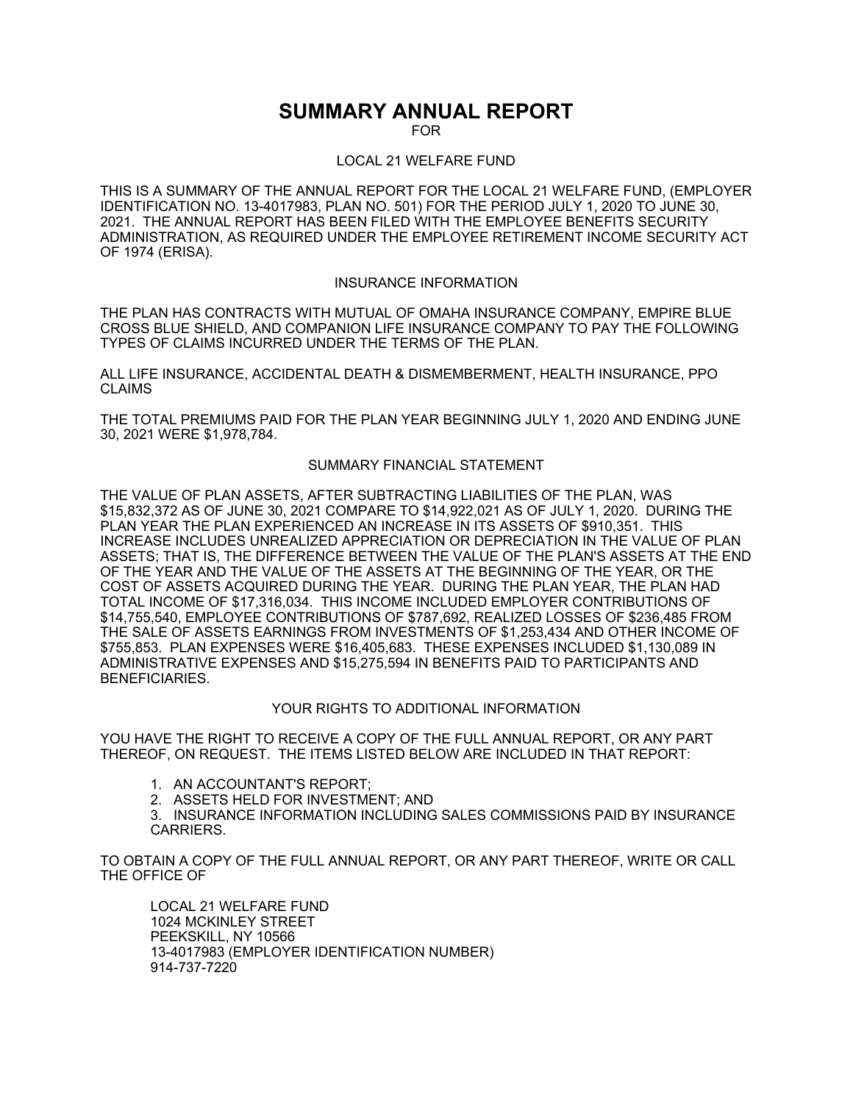# **SUMMARY ANNUAL REPORT**

FOR

### LOCAL 21 WELFARE FUND

THIS IS A SUMMARY OF THE ANNUAL REPORT FOR THE LOCAL 21 WELFARE FUND, (EMPLOYER IDENTIFICATION NO. 13-4017983, PLAN NO. 501) FOR THE PERIOD JULY 1, 2020 TO JUNE 30, 2021. THE ANNUAL REPORT HAS BEEN FILED WITH THE EMPLOYEE BENEFITS SECURITY ADMINISTRATION, AS REQUIRED UNDER THE EMPLOYEE RETIREMENT INCOME SECURITY ACT OF 1974 (ERISA).

### INSURANCE INFORMATION

THE PLAN HAS CONTRACTS WITH MUTUAL OF OMAHA INSURANCE COMPANY, EMPIRE BLUE CROSS BLUE SHIELD, AND COMPANION LIFE INSURANCE COMPANY TO PAY THE FOLLOWING TYPES OF CLAIMS INCURRED UNDER THE TERMS OF THE PLAN.

ALL LIFE INSURANCE, ACCIDENTAL DEATH & DISMEMBERMENT, HEALTH INSURANCE, PPO CLAIMS

THE TOTAL PREMIUMS PAID FOR THE PLAN YEAR BEGINNING JULY 1, 2020 AND ENDING JUNE 30, 2021 WERE \$1,978,784.

#### SUMMARY FINANCIAL STATEMENT

THE VALUE OF PLAN ASSETS, AFTER SUBTRACTING LIABILITIES OF THE PLAN, WAS \$15,832,372 AS OF JUNE 30, 2021 COMPARE TO \$14,922,021 AS OF JULY 1, 2020. DURING THE PLAN YEAR THE PLAN EXPERIENCED AN INCREASE IN ITS ASSETS OF \$910,351. THIS INCREASE INCLUDES UNREALIZED APPRECIATION OR DEPRECIATION IN THE VALUE OF PLAN ASSETS; THAT IS, THE DIFFERENCE BETWEEN THE VALUE OF THE PLAN'S ASSETS AT THE END OF THE YEAR AND THE VALUE OF THE ASSETS AT THE BEGINNING OF THE YEAR, OR THE COST OF ASSETS ACQUIRED DURING THE YEAR. DURING THE PLAN YEAR, THE PLAN HAD TOTAL INCOME OF \$17,316,034. THIS INCOME INCLUDED EMPLOYER CONTRIBUTIONS OF \$14,755,540, EMPLOYEE CONTRIBUTIONS OF \$787,692, REALIZED LOSSES OF \$236,485 FROM THE SALE OF ASSETS EARNINGS FROM INVESTMENTS OF \$1,253,434 AND OTHER INCOME OF \$755,853. PLAN EXPENSES WERE \$16,405,683. THESE EXPENSES INCLUDED \$1,130,089 IN ADMINISTRATIVE EXPENSES AND \$15,275,594 IN BENEFITS PAID TO PARTICIPANTS AND BENEFICIARIES.

## YOUR RIGHTS TO ADDITIONAL INFORMATION

YOU HAVE THE RIGHT TO RECEIVE A COPY OF THE FULL ANNUAL REPORT, OR ANY PART THEREOF, ON REQUEST. THE ITEMS LISTED BELOW ARE INCLUDED IN THAT REPORT:

- 1. AN ACCOUNTANT'S REPORT;
- 2. ASSETS HELD FOR INVESTMENT; AND
- 3. INSURANCE INFORMATION INCLUDING SALES COMMISSIONS PAID BY INSURANCE CARRIERS.

TO OBTAIN A COPY OF THE FULL ANNUAL REPORT, OR ANY PART THEREOF, WRITE OR CALL THE OFFICE OF

LOCAL 21 WELFARE FUND 1024 MCKINLEY STREET PEEKSKILL, NY 10566 13-4017983 (EMPLOYER IDENTIFICATION NUMBER) 914-737-7220